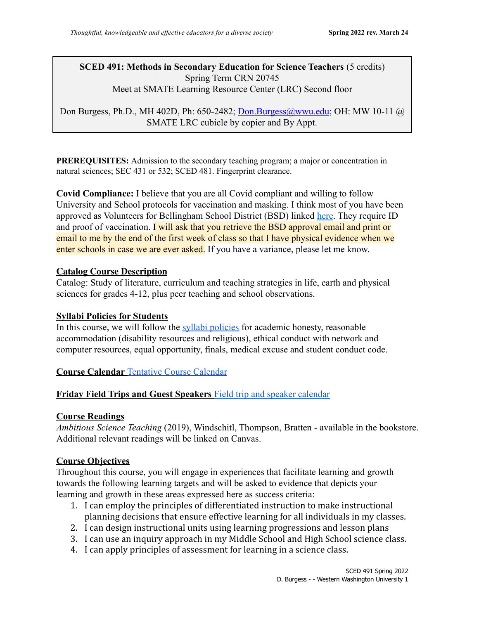### **SCED 491: Methods in Secondary Education for Science Teachers** (5 credits) Spring Term CRN 20745 Meet at SMATE Learning Resource Center (LRC) Second floor

Don Burgess, Ph.D., MH 402D, Ph: 650-2482; [Don.Burgess@wwu.edu](mailto:Don.Brugess@wwu.edu); OH: MW 10-11 @ SMATE LRC cubicle by copier and By Appt.

**PREREQUISITES:** Admission to the secondary teaching program; a major or concentration in natural sciences; SEC 431 or 532; SCED 481. Fingerprint clearance.

**Covid Compliance:** I believe that you are all Covid compliant and willing to follow University and School protocols for vaccination and masking. I think most of you have been approved as Volunteers for Bellingham School District (BSD) linked [here](https://nam11.safelinks.protection.outlook.com/?url=https%3A%2F%2Fbellinghamschools.org%2Fabout%2Fvolunteer-program%2F&data=04%7C01%7Cburgesd3%40wwu.edu%7Ce52c71b56a8147c6358a08d9ff28d92a%7Cdc46140ce26f43efb0ae00f257f478ff%7C0%7C0%7C637821373368662158%7CUnknown%7CTWFpbGZsb3d8eyJWIjoiMC4wLjAwMDAiLCJQIjoiV2luMzIiLCJBTiI6Ik1haWwiLCJXVCI6Mn0%3D%7C3000&sdata=CjS%2B4RmXKTaPJehLpsvNOkAMosApuPo6NFYW11zd0i4%3D&reserved=0). They require ID and proof of vaccination. I will ask that you retrieve the BSD approval email and print or email to me by the end of the first week of class so that I have physical evidence when we enter schools in case we are ever asked. If you have a variance, please let me know.

### **Catalog Course Description**

Catalog: Study of literature, curriculum and teaching strategies in life, earth and physical sciences for grades 4-12, plus peer teaching and school observations.

### **Syllabi Policies for Students**

In this course, we will follow the [syllabi policies](https://syllabi.wwu.edu/) for academic honesty, reasonable accommodation (disability resources and religious), ethical conduct with network and computer resources, equal opportunity, finals, medical excuse and student conduct code.

### **Course Calendar** [Tentative Course Calendar](https://docs.google.com/document/d/1Bivag3xYlVTrQeDjsH9pGQObpYjuvE2NfFKgUIHGCh0/edit?usp=sharing)

### **Friday Field Trips and Guest Speakers** Field trip and [speaker calendar](https://docs.google.com/document/d/1NPN7EASLxty706d98PArhFNwddCx-YCvqS54XB0mZh4/edit?usp=sharing)

#### **Course Readings**

*Ambitious Science Teaching* (2019), Windschitl, Thompson, Bratten - available in the bookstore. Additional relevant readings will be linked on Canvas.

### **Course Objectives**

Throughout this course, you will engage in experiences that facilitate learning and growth towards the following learning targets and will be asked to evidence that depicts your learning and growth in these areas expressed here as success criteria:

- 1. I can employ the principles of differentiated instruction to make instructional planning decisions that ensure effective learning for all individuals in my classes.
- 2. I can design instructional units using learning progressions and lesson plans
- 3. I can use an inquiry approach in my Middle School and High School science class.
- 4. I can apply principles of assessment for learning in a science class.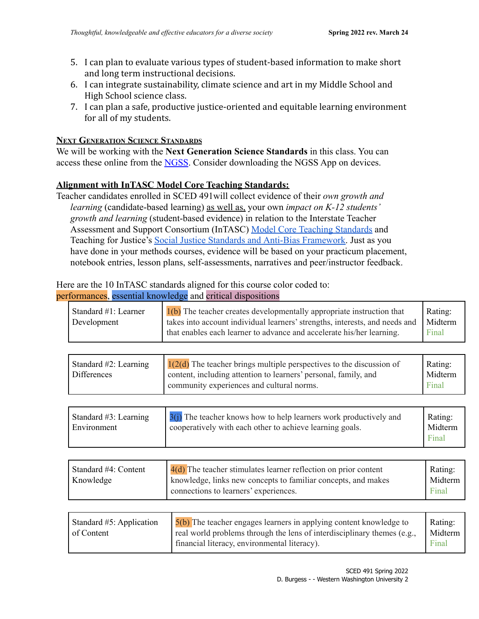- 5. I can plan to evaluate various types of student-based information to make short and long term instructional decisions.
- 6. I can integrate sustainability, climate science and art in my Middle School and High School science class.
- 7. I can plan a safe, productive justice-oriented and equitable learning environment for all of my students.

## **NEXT GENERATION SCIENCE STANDARDS**

We will be working with the **Next Generation Science Standards** in this class. You can access these online from the [NGSS.](http://www.nextgenscience.org/next-generation-science-standards) Consider downloading the NGSS App on devices.

## **Alignment with InTASC Model Core Teaching Standards:**

Teacher candidates enrolled in SCED 491will collect evidence of their *own growth and learning* (candidate-based learning) as well as, your own *impact on K-12 students' growth and learning* (student-based evidence) in relation to the Interstate Teacher Assessment and Support Consortium (InTASC) Model Core [Teaching Standards](https://ccsso.org/sites/default/files/2017-11/InTASC_Model_Core_Teaching_Standards_2011.pdf) and Teaching for Justice's [Social Justice Standards and](https://www.learningforjustice.org/sites/default/files/2017-06/TT_Social_Justice_Standards_0.pdf) Anti-Bias Framework. Just as you have done in your methods courses, evidence will be based on your practicum placement, notebook entries, lesson plans, self-assessments, narratives and peer/instructor feedback.

# Here are the 10 InTASC standards aligned for this course color coded to:

### performances, essential knowledge and critical dispositions

| Standard #1: Learner<br>Development            | 1(b) The teacher creates developmentally appropriate instruction that<br>takes into account individual learners' strengths, interests, and needs and<br>that enables each learner to advance and accelerate his/her learning. | Rating:<br>Midterm<br>Final |
|------------------------------------------------|-------------------------------------------------------------------------------------------------------------------------------------------------------------------------------------------------------------------------------|-----------------------------|
|                                                |                                                                                                                                                                                                                               |                             |
| Standard $#2$ : Learning<br><b>Differences</b> | $1(2(d)$ The teacher brings multiple perspectives to the discussion of<br>content, including attention to learners' personal, family, and<br>community experiences and cultural norms.                                        | Rating:<br>Midterm<br>Final |
|                                                |                                                                                                                                                                                                                               |                             |
| Standard $#3$ : Learning<br>Environment        | $3(i)$ The teacher knows how to help learners work productively and<br>cooperatively with each other to achieve learning goals.                                                                                               | Rating:<br>Midterm<br>Final |
|                                                |                                                                                                                                                                                                                               |                             |
| Standard #4: Content<br>Knowledge              | $4(d)$ The teacher stimulates learner reflection on prior content<br>knowledge, links new concepts to familiar concepts, and makes<br>connections to learners' experiences.                                                   | Rating:<br>Midterm<br>Final |
|                                                |                                                                                                                                                                                                                               |                             |
| Standard $#5$ Application                      | $5(b)$ The teacher engages learners in applying content knowledge to                                                                                                                                                          | $R$ atino:                  |

| Standard $#5$ : Application | $\frac{5(b)}{2}$ The teacher engages learners in applying content knowledge to | Rating: |
|-----------------------------|--------------------------------------------------------------------------------|---------|
| of Content                  | real world problems through the lens of interdisciplinary themes (e.g.,        | Midterm |
|                             | financial literacy, environmental literacy).                                   | Final   |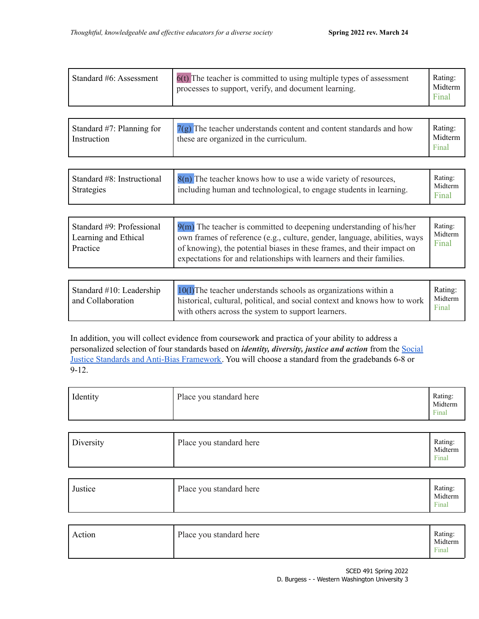| Standard #6: Assessment                     | $6(t)$ The teacher is committed to using multiple types of assessment<br>processes to support, verify, and document learning. | Rating:<br>Midterm<br>Final |
|---------------------------------------------|-------------------------------------------------------------------------------------------------------------------------------|-----------------------------|
| Standard $#7$ : Planning for<br>Instruction | $7(g)$ The teacher understands content and content standards and how<br>these are organized in the curriculum.                | Rating:<br>Midterm<br>Final |

| Standard #8: Instructional<br>Strategies | $8(n)$ The teacher knows how to use a wide variety of resources,<br>including human and technological, to engage students in learning. | Rating:<br>Midterm<br>Final |
|------------------------------------------|----------------------------------------------------------------------------------------------------------------------------------------|-----------------------------|
|------------------------------------------|----------------------------------------------------------------------------------------------------------------------------------------|-----------------------------|

| Standard #9: Professional<br>Learning and Ethical<br>Practice | $9(m)$ The teacher is committed to deepening understanding of his/her<br>own frames of reference (e.g., culture, gender, language, abilities, ways<br>of knowing), the potential biases in these frames, and their impact on<br>expectations for and relationships with learners and their families. | Rating:<br>Midterm<br>Final |
|---------------------------------------------------------------|------------------------------------------------------------------------------------------------------------------------------------------------------------------------------------------------------------------------------------------------------------------------------------------------------|-----------------------------|
|---------------------------------------------------------------|------------------------------------------------------------------------------------------------------------------------------------------------------------------------------------------------------------------------------------------------------------------------------------------------------|-----------------------------|

| Standard #10: Leadership<br>and Collaboration | $10(1)$ The teacher understands schools as organizations within a<br>historical, cultural, political, and social context and knows how to work<br>with others across the system to support learners. | Rating:<br>Midterm<br>Final |
|-----------------------------------------------|------------------------------------------------------------------------------------------------------------------------------------------------------------------------------------------------------|-----------------------------|
|-----------------------------------------------|------------------------------------------------------------------------------------------------------------------------------------------------------------------------------------------------------|-----------------------------|

In addition, you will collect evidence from coursework and practica of your ability to address a personalized selection of four standards based on *identity, diversity, justice and action* from the [Social](https://www.learningforjustice.org/sites/default/files/2017-06/TT_Social_Justice_Standards_0.pdf) Justice Standards and Anti-Bias [Framework.](https://www.learningforjustice.org/sites/default/files/2017-06/TT_Social_Justice_Standards_0.pdf) You will choose a standard from the gradebands 6-8 or 9-12.

| Identity | Place you standard here | Rating:<br>Midterm<br>Final |
|----------|-------------------------|-----------------------------|
|----------|-------------------------|-----------------------------|

| Diversity | Place you standard here | Rating:<br>Midterm<br>Final |
|-----------|-------------------------|-----------------------------|
|-----------|-------------------------|-----------------------------|

| Justice | Place you standard here | Rating:<br>Midterm<br>Final |
|---------|-------------------------|-----------------------------|
|---------|-------------------------|-----------------------------|

| Action | Place you standard here | Rating:<br>Midterm<br>Final |
|--------|-------------------------|-----------------------------|
|--------|-------------------------|-----------------------------|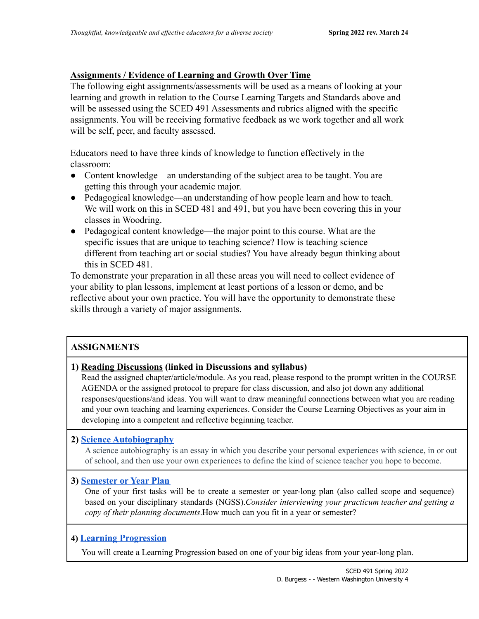## **Assignments / Evidence of Learning and Growth Over Time**

The following eight assignments/assessments will be used as a means of looking at your learning and growth in relation to the Course Learning Targets and Standards above and will be assessed using the SCED 491 Assessments and rubrics aligned with the specific assignments. You will be receiving formative feedback as we work together and all work will be self, peer, and faculty assessed.

Educators need to have three kinds of knowledge to function effectively in the classroom:

- Content knowledge—an understanding of the subject area to be taught. You are getting this through your academic major.
- Pedagogical knowledge—an understanding of how people learn and how to teach. We will work on this in SCED 481 and 491, but you have been covering this in your classes in Woodring.
- Pedagogical content knowledge—the major point to this course. What are the specific issues that are unique to teaching science? How is teaching science different from teaching art or social studies? You have already begun thinking about this in SCED 481.

To demonstrate your preparation in all these areas you will need to collect evidence of your ability to plan lessons, implement at least portions of a lesson or demo, and be reflective about your own practice. You will have the opportunity to demonstrate these skills through a variety of major assignments.

## **ASSIGNMENTS**

## **1) Reading Discussions (linked in Discussions and syllabus)**

Read the assigned chapter/article/module. As you read, please respond to the prompt written in the COURSE AGENDA or the assigned protocol to prepare for class discussion, and also jot down any additional responses/questions/and ideas. You will want to draw meaningful connections between what you are reading and your own teaching and learning experiences. Consider the Course Learning Objectives as your aim in developing into a competent and reflective beginning teacher.

### **2) [Science Autobiography](https://docs.google.com/document/d/1gdqu6cilarQfI5WXB4T7rROI9VlPlZW-LqsNOh8k594/edit?usp=sharing)**

A science autobiography is an essay in which you describe your personal experiences with science, in or out of school, and then use your own experiences to define the kind of science teacher you hope to become.

### **3) [Semester or](https://docs.google.com/document/d/1oTX1rDK3R-xeqR9RywxUE0x_WlQwXyBlhcHVjpGQUI4/edit?usp=sharing) Year Plan**

One of your first tasks will be to create a semester or year-long plan (also called scope and sequence) based on your disciplinary standards (NGSS).*Consider interviewing your practicum teacher and getting a copy of their planning documents*.How much can you fit in a year or semester?

### **4) [Learning Progression](https://docs.google.com/document/d/13kJA-uVM_cE35WpqjI0lCXxf1LNy7rZ3_7lzY4n5Mqo/edit?usp=sharing)**

You will create a Learning Progression based on one of your big ideas from your year-long plan.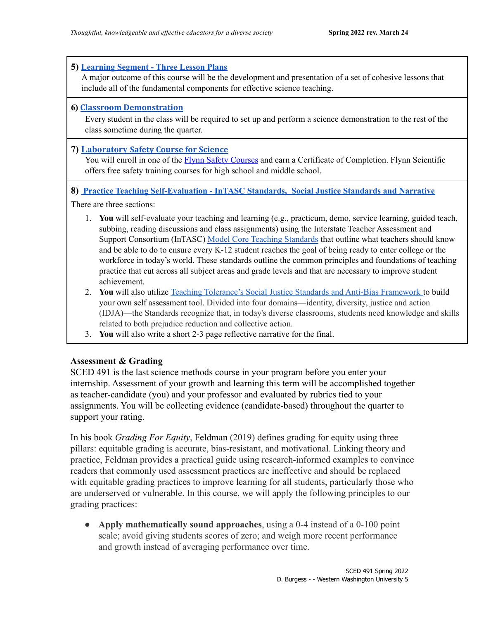### **5) [Learning](https://docs.google.com/document/d/1fESOB8nYvc5IO7zqXx7MrtRJXbwHz4pamWoOPxYwoK8/edit?usp=sharing) Segment - Three Lesson Plans**

A major outcome of this course will be the development and presentation of a set of cohesive lessons that include all of the fundamental components for effective science teaching.

### **6) Classroom [Demonstration](https://drive.google.com/drive/folders/1z1GuM4cc1-QUopM-A5_br-txAGM5yQx-?usp=sharing)**

Every student in the class will be required to set up and perform a science demonstration to the rest of the class sometime during the quarter.

### **7) [Laboratory](https://labsafety.flinnsci.com/app/) Safety Course for Science**

You will enroll in one of the Flynn Safety [Courses](https://labsafety.flinnsci.com/app/) and earn a Certificate of Completion. Flynn Scientific offers free safety training courses for high school and middle school.

#### **8) Practice Teaching [Self-Evaluation](https://docs.google.com/document/d/1ZLU1fglKMkCILPzoY_d1CG1-RBP9-jtvskHcGJUNw8c/edit?usp=sharing) - InTASC Standards, Social Justice Standards and Narrative**

There are three sections:

- 1. **You** will self-evaluate your teaching and learning (e.g., practicum, demo, service learning, guided teach, subbing, reading discussions and class assignments) using the Interstate Teacher Assessment and Support Consortium (InTASC) Model Core Teaching [Standards](https://ccsso.org/sites/default/files/2017-11/InTASC_Model_Core_Teaching_Standards_2011.pdf) that outline what teachers should know and be able to do to ensure every K-12 student reaches the goal of being ready to enter college or the workforce in today's world. These standards outline the common principles and foundations of teaching practice that cut across all subject areas and grade levels and that are necessary to improve student achievement.
- 2. **You** will also utilize Teaching Tolerance's Social Justice Standards and Anti-Bias [Framework](https://www.learningforjustice.org/sites/default/files/2017-06/TT_Social_Justice_Standards_0.pdf) to build your own self assessment tool. Divided into four domains—identity, diversity, justice and action (IDJA)—the Standards recognize that, in today's diverse classrooms, students need knowledge and skills related to both prejudice reduction and collective action.
- 3. **You** will also write a short 2-3 page reflective narrative for the final.

### **Assessment & Grading**

SCED 491 is the last science methods course in your program before you enter your internship. Assessment of your growth and learning this term will be accomplished together as teacher-candidate (you) and your professor and evaluated by rubrics tied to your assignments. You will be collecting evidence (candidate-based) throughout the quarter to support your rating.

In his book *Grading For Equity*, Feldman (2019) defines grading for equity using three pillars: equitable grading is accurate, bias-resistant, and motivational. Linking theory and practice, Feldman provides a practical guide using research-informed examples to convince readers that commonly used assessment practices are ineffective and should be replaced with equitable grading practices to improve learning for all students, particularly those who are underserved or vulnerable. In this course, we will apply the following principles to our grading practices:

● **Apply mathematically sound approaches**, using a 0-4 instead of a 0-100 point scale; avoid giving students scores of zero; and weigh more recent performance and growth instead of averaging performance over time.